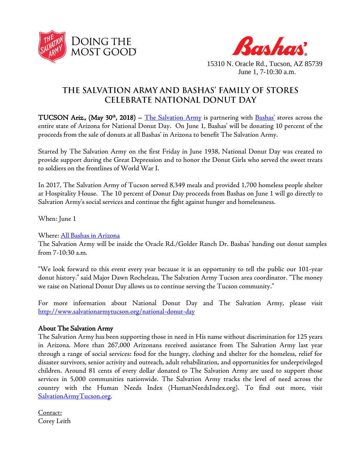



15310 N. Oracle Rd., Tucson, AZ 85739 June 1, 7-10:30 a.m.

## THE SALVATION ARMY AND BASHAS' FAMILY OF STORES **CELEBRATE NATIONAL DONUT DAY**

TUCSON Ariz., (May 30<sup>th</sup>, 2018) – [The Salvation Army](http://www.salvationarmytucson.org/) is partnering with **[Bashas'](http://www.bashas.com/)** stores across the entire state of Arizona for National Donut Day. On June 1, Bashas' will be donating 10 percent of the proceeds from the sale of donuts at all Bashas' in Arizona to benefit The Salvation Army.

Started by The Salvation Army on the first Friday in June 1938, National Donut Day was created to provide support during the Great Depression and to honor the Donut Girls who served the sweet treats to soldiers on the frontlines of World War I.

In 2017, The Salvation Army of Tucson served 8,349 meals and provided 1,700 homeless people shelter at Hospitality House. The 10 percent of Donut Day proceeds from Bashas on June 1 will go directly to Salvation Army's social services and continue the fight against hunger and homelessness.

When: June 1

Where: [All Bashas in Arizona](https://www.bashas.com/locations/?utm_source=Direct)

The Salvation Army will be inside the Oracle Rd./Golder Ranch Dr. Bashas' handing out donut samples from 7-10:30 a.m.

"We look forward to this event every year because it is an opportunity to tell the public our 101-year donut history." said Major Dawn Rocheleau, The Salvation Army Tucson area coordinator. "The money we raise on National Donut Day allows us to continue serving the Tucson community."

For more information about National Donut Day and The Salvation Army, please visit <http://www.salvationarmytucson.org/national-donut-day>

## About The Salvation Army

The Salvation Army has been supporting those in need in His name without discrimination for 125 years in Arizona. More than 267,000 Arizonans received assistance from The Salvation Army last year through a range of social services: food for the hungry, clothing and shelter for the homeless, relief for disaster survivors, senior activity and outreach, adult rehabilitation, and opportunities for underprivileged children. Around 81 cents of every dollar donated to The Salvation Army are used to support those services in 5,000 communities nationwide. The Salvation Army tracks the level of need across the country with the Human Needs Index (HumanNeedsIndex.org). To find out more, visit [SalvationArmyTucson.org](http://www.salvationarmytucson.org/).

Contact: Corey Leith